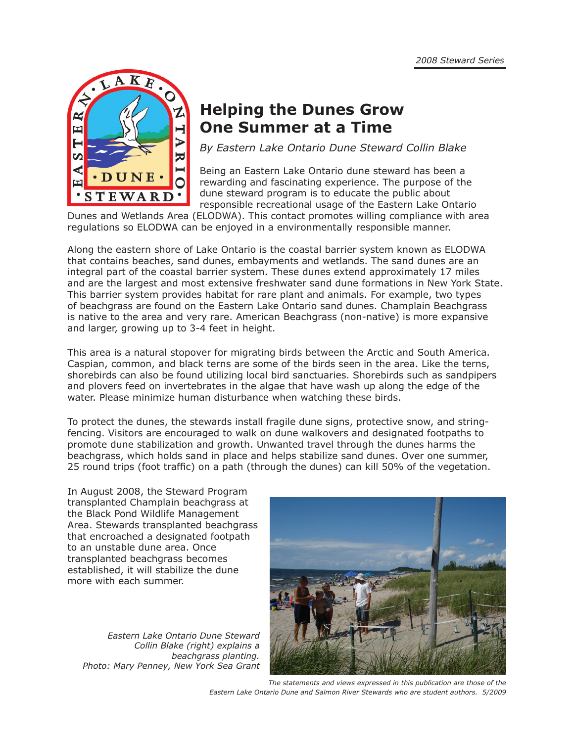

# **Helping the Dunes Grow One Summer at a Time**

*By Eastern Lake Ontario Dune Steward Collin Blake* 

Being an Eastern Lake Ontario dune steward has been a rewarding and fascinating experience. The purpose of the dune steward program is to educate the public about responsible recreational usage of the Eastern Lake Ontario

Dunes and Wetlands Area (ELODWA). This contact promotes willing compliance with area regulations so ELODWA can be enjoyed in a environmentally responsible manner.

Along the eastern shore of Lake Ontario is the coastal barrier system known as ELODWA that contains beaches, sand dunes, embayments and wetlands. The sand dunes are an integral part of the coastal barrier system. These dunes extend approximately 17 miles and are the largest and most extensive freshwater sand dune formations in New York State. This barrier system provides habitat for rare plant and animals. For example, two types of beachgrass are found on the Eastern Lake Ontario sand dunes. Champlain Beachgrass is native to the area and very rare. American Beachgrass (non-native) is more expansive and larger, growing up to 3-4 feet in height.

This area is a natural stopover for migrating birds between the Arctic and South America. Caspian, common, and black terns are some of the birds seen in the area. Like the terns, shorebirds can also be found utilizing local bird sanctuaries. Shorebirds such as sandpipers and plovers feed on invertebrates in the algae that have wash up along the edge of the water. Please minimize human disturbance when watching these birds.

To protect the dunes, the stewards install fragile dune signs, protective snow, and stringfencing. Visitors are encouraged to walk on dune walkovers and designated footpaths to promote dune stabilization and growth. Unwanted travel through the dunes harms the beachgrass, which holds sand in place and helps stabilize sand dunes. Over one summer, 25 round trips (foot traffic) on a path (through the dunes) can kill 50% of the vegetation.

In August 2008, the Steward Program transplanted Champlain beachgrass at the Black Pond Wildlife Management Area. Stewards transplanted beachgrass that encroached a designated footpath to an unstable dune area. Once transplanted beachgrass becomes established, it will stabilize the dune more with each summer.

*Eastern Lake Ontario Dune Steward Collin Blake (right) explains a beachgrass planting. Photo: Mary Penney, New York Sea Grant*



*The statements and views expressed in this publication are those of the Eastern Lake Ontario Dune and Salmon River Stewards who are student authors. 5/2009*